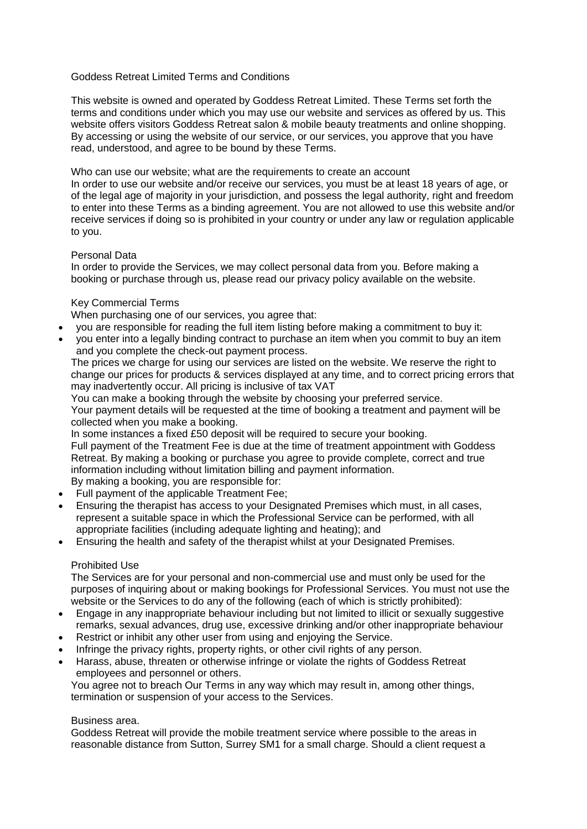# Goddess Retreat Limited Terms and Conditions

This website is owned and operated by Goddess Retreat Limited. These Terms set forth the terms and conditions under which you may use our website and services as offered by us. This website offers visitors Goddess Retreat salon & mobile beauty treatments and online shopping. By accessing or using the website of our service, or our services, you approve that you have read, understood, and agree to be bound by these Terms.

Who can use our website; what are the requirements to create an account

In order to use our website and/or receive our services, you must be at least 18 years of age, or of the legal age of majority in your jurisdiction, and possess the legal authority, right and freedom to enter into these Terms as a binding agreement. You are not allowed to use this website and/or receive services if doing so is prohibited in your country or under any law or regulation applicable to you.

## Personal Data

In order to provide the Services, we may collect personal data from you. Before making a booking or purchase through us, please read our privacy policy available on the website.

## Key Commercial Terms

When purchasing one of our services, you agree that:

- you are responsible for reading the full item listing before making a commitment to buy it:
- you enter into a legally binding contract to purchase an item when you commit to buy an item and you complete the check-out payment process.

The prices we charge for using our services are listed on the website. We reserve the right to change our prices for products & services displayed at any time, and to correct pricing errors that may inadvertently occur. All pricing is inclusive of tax VAT

You can make a booking through the website by choosing your preferred service. Your payment details will be requested at the time of booking a treatment and payment will be collected when you make a booking.

In some instances a fixed £50 deposit will be required to secure your booking. Full payment of the Treatment Fee is due at the time of treatment appointment with Goddess Retreat. By making a booking or purchase you agree to provide complete, correct and true information including without limitation billing and payment information. By making a booking, you are responsible for:

- Full payment of the applicable Treatment Fee;
- Ensuring the therapist has access to your Designated Premises which must, in all cases, represent a suitable space in which the Professional Service can be performed, with all appropriate facilities (including adequate lighting and heating); and
- Ensuring the health and safety of the therapist whilst at your Designated Premises.

## Prohibited Use

The Services are for your personal and non-commercial use and must only be used for the purposes of inquiring about or making bookings for Professional Services. You must not use the website or the Services to do any of the following (each of which is strictly prohibited):

- Engage in any inappropriate behaviour including but not limited to illicit or sexually suggestive remarks, sexual advances, drug use, excessive drinking and/or other inappropriate behaviour
- Restrict or inhibit any other user from using and enjoying the Service.
- Infringe the privacy rights, property rights, or other civil rights of any person.
- Harass, abuse, threaten or otherwise infringe or violate the rights of Goddess Retreat employees and personnel or others.

You agree not to breach Our Terms in any way which may result in, among other things, termination or suspension of your access to the Services.

#### Business area.

Goddess Retreat will provide the mobile treatment service where possible to the areas in reasonable distance from Sutton, Surrey SM1 for a small charge. Should a client request a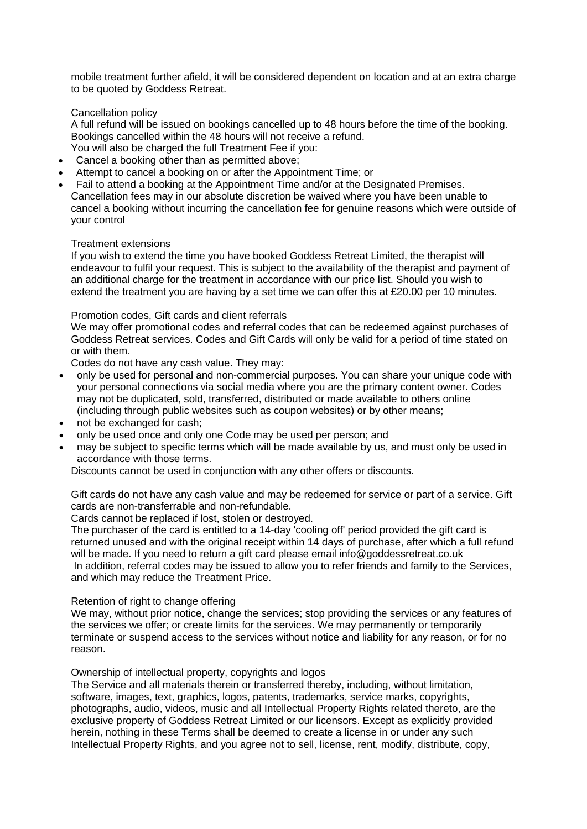mobile treatment further afield, it will be considered dependent on location and at an extra charge to be quoted by Goddess Retreat.

Cancellation policy

A full refund will be issued on bookings cancelled up to 48 hours before the time of the booking. Bookings cancelled within the 48 hours will not receive a refund.

- You will also be charged the full Treatment Fee if you:
- Cancel a booking other than as permitted above;
- Attempt to cancel a booking on or after the Appointment Time; or
- Fail to attend a booking at the Appointment Time and/or at the Designated Premises. Cancellation fees may in our absolute discretion be waived where you have been unable to cancel a booking without incurring the cancellation fee for genuine reasons which were outside of your control

#### Treatment extensions

If you wish to extend the time you have booked Goddess Retreat Limited, the therapist will endeavour to fulfil your request. This is subject to the availability of the therapist and payment of an additional charge for the treatment in accordance with our price list. Should you wish to extend the treatment you are having by a set time we can offer this at £20.00 per 10 minutes.

## Promotion codes, Gift cards and client referrals

We may offer promotional codes and referral codes that can be redeemed against purchases of Goddess Retreat services. Codes and Gift Cards will only be valid for a period of time stated on or with them.

Codes do not have any cash value. They may:

- only be used for personal and non-commercial purposes. You can share your unique code with your personal connections via social media where you are the primary content owner. Codes may not be duplicated, sold, transferred, distributed or made available to others online (including through public websites such as coupon websites) or by other means;
- not be exchanged for cash;
- only be used once and only one Code may be used per person; and
- may be subject to specific terms which will be made available by us, and must only be used in accordance with those terms.

Discounts cannot be used in conjunction with any other offers or discounts.

Gift cards do not have any cash value and may be redeemed for service or part of a service. Gift cards are non-transferrable and non-refundable.

Cards cannot be replaced if lost, stolen or destroyed.

The purchaser of the card is entitled to a 14-day 'cooling off' period provided the gift card is returned unused and with the original receipt within 14 days of purchase, after which a full refund will be made. If you need to return a gift card please email info@goddessretreat.co.uk In addition, referral codes may be issued to allow you to refer friends and family to the Services, and which may reduce the Treatment Price.

#### Retention of right to change offering

We may, without prior notice, change the services; stop providing the services or any features of the services we offer; or create limits for the services. We may permanently or temporarily terminate or suspend access to the services without notice and liability for any reason, or for no reason.

#### Ownership of intellectual property, copyrights and logos

The Service and all materials therein or transferred thereby, including, without limitation, software, images, text, graphics, logos, patents, trademarks, service marks, copyrights, photographs, audio, videos, music and all Intellectual Property Rights related thereto, are the exclusive property of Goddess Retreat Limited or our licensors. Except as explicitly provided herein, nothing in these Terms shall be deemed to create a license in or under any such Intellectual Property Rights, and you agree not to sell, license, rent, modify, distribute, copy,